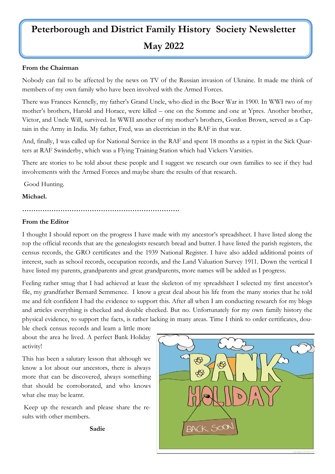# **Peterborough and District Family History Society Newsletter May 2022**

#### **From the Chairman**

Nobody can fail to be affected by the news on TV of the Russian invasion of Ukraine. It made me think of members of my own family who have been involved with the Armed Forces.

There was Frances Kennelly, my father's Grand Uncle, who died in the Boer War in 1900. In WWI two of my mother's brothers, Harold and Horace, were killed – one on the Somme and one at Ypres. Another brother, Victor, and Uncle Will, survived. In WWII another of my mother's brothers, Gordon Brown, served as a Captain in the Army in India. My father, Fred, was an electrician in the RAF in that war.

And, finally, I was called up for National Service in the RAF and spent 18 months as a typist in the Sick Quarters at RAF Swinderby, which was a Flying Training Station which had Vickers Varsities.

There are stories to be told about these people and I suggest we research our own families to see if they had involvements with the Armed Forces and maybe share the results of that research.

Good Hunting.

#### **Michael.**

#### **…………………………………………………………….**

#### **From the Editor**

I thought I should report on the progress I have made with my ancestor's spreadsheet. I have listed along the top the official records that are the genealogists research bread and butter. I have listed the parish registers, the census records, the GRO certificates and the 1939 National Register. I have also added additional points of interest, such as school records, occupation records, and the Land Valuation Survey 1911. Down the vertical I have listed my parents, grandparents and great grandparents, more names will be added as I progress.

Feeling rather smug that I had achieved at least the skeleton of my spreadsheet I selected my first ancestor's file, my grandfather Bernard Semmence. I know a great deal about his life from the many stories that he told me and felt confident I had the evidence to support this. After all when I am conducting research for my blogs and articles everything is checked and double checked. But no. Unfortunately for my own family history the physical evidence, to support the facts, is rather lacking in many areas. Time I think to order certificates, dou-

ble check census records and learn a little more about the area he lived. A perfect Bank Holiday activity!

This has been a salutary lesson that although we know a lot about our ancestors, there is always more that can be discovered, always something that should be corroborated, and who knows what else may be learnt.

Keep up the research and please share the results with other members.



**Sadie**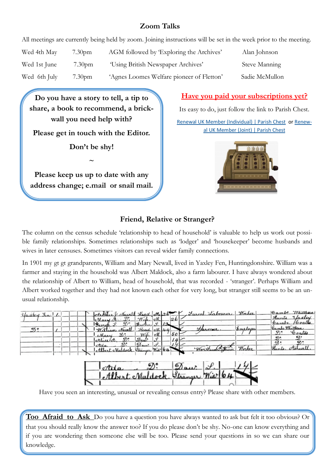# **Zoom Talks**

All meetings are currently being held by zoom. Joining instructions will be set in the week prior to the meeting.

| Wed 4th May  | 7.30 <sub>pm</sub> | AGM followed by Exploring the Archives'   | Alan Johnson   |
|--------------|--------------------|-------------------------------------------|----------------|
| Wed 1st June | 7.30 <sub>pm</sub> | 'Using British Newspaper Archives'        | Steve Manning  |
| Wed 6th July | 7.30pm             | 'Agnes Loomes Welfare pioneer of Fletton' | Sadie McMullon |

**Do you have a story to tell, a tip to share, a book to recommend, a brickwall you need help with? Please get in touch with the Editor. Don't be shy! ~ Please keep us up to date with any address change; e.mail or snail mail.** 

# **Have you paid your subscriptions yet?**

Its easy to do, just follow the link to Parish Chest. [Renewal UK Member \(Individual\) | Parish Chest](https://www.parishchest.com/renewal-uk-member-individual-9638.php) or [Renew-](https://www.parishchest.com/renewal-uk-member-joint-9639.php)

[al UK Member \(Joint\) | Parish Chest](https://www.parishchest.com/renewal-uk-member-joint-9639.php)



# **Friend, Relative or Stranger?**

The column on the census schedule 'relationship to head of household' is valuable to help us work out possible family relationships. Sometimes relationships such as 'lodger' and 'housekeeper' become husbands and wives in later censuses. Sometimes visitors can reveal wider family connections.

In 1901 my gt gt grandparents, William and Mary Newall, lived in Yaxley Fen, Huntingdonshire. William was a farmer and staying in the household was Albert Maldock, also a farm labourer. I have always wondered about the relationship of Albert to William, head of household, that was recorded - 'stranger'. Perhaps William and Albert worked together and they had not known each other for very long, but stranger still seems to be an unusual relationship.

| <i>Haxley Jen</i> |  |  | ot Henry dewell Head on 26      |               |               |     |                    | Laron Labourer Worker | Cambe Whittlessa        |
|-------------------|--|--|---------------------------------|---------------|---------------|-----|--------------------|-----------------------|-------------------------|
|                   |  |  | 600<br>Clary to.                | Wife M        |               | -26 |                    |                       | Vacley<br>Hunts         |
|                   |  |  | Scorde.                         | Brother L. 12 |               |     |                    |                       | $H_0$ oalls<br>toanabe. |
| D°.               |  |  | William<br>Neuvell.             | Head M. 49    |               |     | <u>Harmer.</u>     | Smalage               | Camps Whitthesa         |
|                   |  |  | ୬:<br>Mary                      | Wike M        |               | 50  |                    |                       | த∘<br>Coates            |
|                   |  |  | D°<br>chice of                  | Davi          | $\Delta L$    |     |                    |                       | N.<br>D.                |
|                   |  |  | otila                           | Day.          | $\mathcal{F}$ |     |                    |                       | ஏ:                      |
|                   |  |  | Albert Maldock, Stranger Wid 64 |               |               |     | Wortharan Lathurer | Worker                | Hunts                   |
|                   |  |  |                                 |               |               |     |                    |                       |                         |



Have you seen an interesting, unusual or revealing census entry? Please share with other members.

**Too Afraid to Ask** Do you have a question you have always wanted to ask but felt it too obvious? Or that you should really know the answer too? If you do please don't be shy. No-one can know everything and if you are wondering then someone else will be too. Please send your questions in so we can share our knowledge.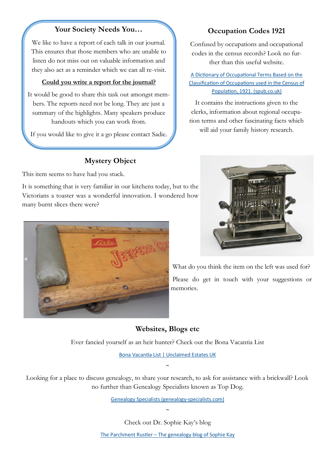### **Your Society Needs You…**

We like to have a report of each talk in our journal. This ensures that those members who are unable to listen do not miss out on valuable information and they also act as a reminder which we can all re-visit.

#### **Could you write a report for the journal?**

It would be good to share this task out amongst members. The reports need not be long. They are just a summary of the highlights. Many speakers produce handouts which you can work from.

If you would like to give it a go please contact Sadie.

# **Mystery Object**

This item seems to have had you stuck.

It is something that is very familiar in our kitchens today, but to the Victorians a toaster was a wonderful innovation. I wondered how many burnt slices there were?



What do you think the item on the left was used for? Please do get in touch with your suggestions or memories.

## **Websites, Blogs etc**

Ever fancied yourself as an heir hunter? Check out the Bona Vacantia List

[Bona Vacantia List | Unclaimed Estates UK](https://www.bonavacantialist.co.uk/)

 $\sim$ 

Looking for a place to discuss genealogy, to share your research, to ask for assistance with a brickwall? Look no further than Genealogy Specialists known as Top Dog.

[Genealogy Specialists \(genealogy](https://genealogy-specialists.com/)-specialists.com)

 $\sim$ 

Check out Dr. Sophie Kay's blog The Parchment Rustler – [The genealogy blog of Sophie Kay](https://parchmentrustler.com/)

# codes in the census records? Look no further than this useful website.

[A Dictionary of Occupational Terms Based on the](http://doot.spub.co.uk/)  [Classification of Occupations used in the Census of](http://doot.spub.co.uk/)  [Population, 1921. \(spub.co.uk\)](http://doot.spub.co.uk/)

**Occupation Codes 1921**

Confused by occupations and occupational

It contains the instructions given to the clerks, information about regional occupation terms and other fascinating facts which will aid your family history research.